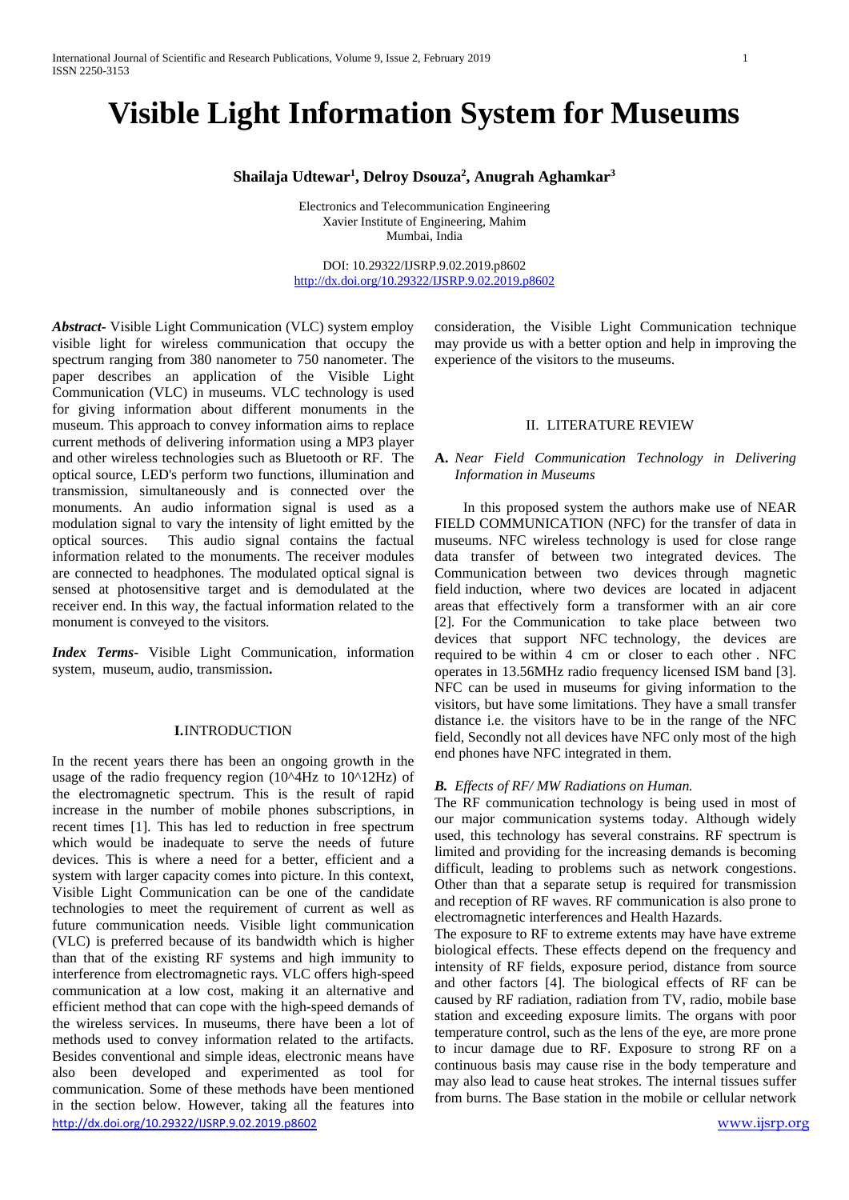# **Visible Light Information System for Museums**

## **Shailaja Udtewar1 , Delroy Dsouza2 , Anugrah Aghamkar3**

Electronics and Telecommunication Engineering Xavier Institute of Engineering, Mahim Mumbai, India

DOI: 10.29322/IJSRP.9.02.2019.p8602 <http://dx.doi.org/10.29322/IJSRP.9.02.2019.p8602>

*Abstract-* Visible Light Communication (VLC) system employ visible light for wireless communication that occupy the spectrum ranging from 380 nanometer to 750 nanometer. The paper describes an application of the Visible Light Communication (VLC) in museums. VLC technology is used for giving information about different monuments in the museum. This approach to convey information aims to replace current methods of delivering information using a MP3 player and other wireless technologies such as Bluetooth or RF. The optical source, LED's perform two functions, illumination and transmission, simultaneously and is connected over the monuments. An audio information signal is used as a modulation signal to vary the intensity of light emitted by the optical sources. This audio signal contains the factual information related to the monuments. The receiver modules are connected to headphones. The modulated optical signal is sensed at photosensitive target and is demodulated at the receiver end. In this way, the factual information related to the monument is conveyed to the visitors.

*Index Terms***-** Visible Light Communication, information system, museum, audio, transmission**.**

## **I.**INTRODUCTION

<http://dx.doi.org/10.29322/IJSRP.9.02.2019.p8602> [www.ijsrp.org](http://ijsrp.org/) In the recent years there has been an ongoing growth in the usage of the radio frequency region (10^4Hz to 10^12Hz) of the electromagnetic spectrum. This is the result of rapid increase in the number of mobile phones subscriptions, in recent times [1]. This has led to reduction in free spectrum which would be inadequate to serve the needs of future devices. This is where a need for a better, efficient and a system with larger capacity comes into picture. In this context, Visible Light Communication can be one of the candidate technologies to meet the requirement of current as well as future communication needs*.* Visible light communication (VLC) is preferred because of its bandwidth which is higher than that of the existing RF systems and high immunity to interference from electromagnetic rays. VLC offers high-speed communication at a low cost, making it an alternative and efficient method that can cope with the high-speed demands of the wireless services. In museums, there have been a lot of methods used to convey information related to the artifacts. Besides conventional and simple ideas, electronic means have also been developed and experimented as tool for communication. Some of these methods have been mentioned in the section below. However, taking all the features into

consideration, the Visible Light Communication technique may provide us with a better option and help in improving the experience of the visitors to the museums.

#### II. LITERATURE REVIEW

## **A.** *Near Field Communication Technology in Delivering Information in Museums*

 In this proposed system the authors make use of NEAR FIELD COMMUNICATION (NFC) for the transfer of data in museums. NFC wireless technology is used for close range data transfer of between two integrated devices. The Communication between two devices through magnetic field induction, where two devices are located in adjacent areas that effectively form a transformer with an air core [2]. For the Communication to take place between two devices that support NFC technology, the devices are required to be within 4 cm or closer to each other . NFC operates in 13.56MHz radio frequency licensed ISM band [3]. NFC can be used in museums for giving information to the visitors, but have some limitations. They have a small transfer distance i.e. the visitors have to be in the range of the NFC field, Secondly not all devices have NFC only most of the high end phones have NFC integrated in them.

#### *B. Effects of RF/ MW Radiations on Human.*

The RF communication technology is being used in most of our major communication systems today. Although widely used, this technology has several constrains. RF spectrum is limited and providing for the increasing demands is becoming difficult, leading to problems such as network congestions. Other than that a separate setup is required for transmission and reception of RF waves. RF communication is also prone to electromagnetic interferences and Health Hazards.

The exposure to RF to extreme extents may have have extreme biological effects. These effects depend on the frequency and intensity of RF fields, exposure period, distance from source and other factors [4]. The biological effects of RF can be caused by RF radiation, radiation from TV, radio, mobile base station and exceeding exposure limits. The organs with poor temperature control, such as the lens of the eye, are more prone to incur damage due to RF. Exposure to strong RF on a continuous basis may cause rise in the body temperature and may also lead to cause heat strokes. The internal tissues suffer from burns. The Base station in the mobile or cellular network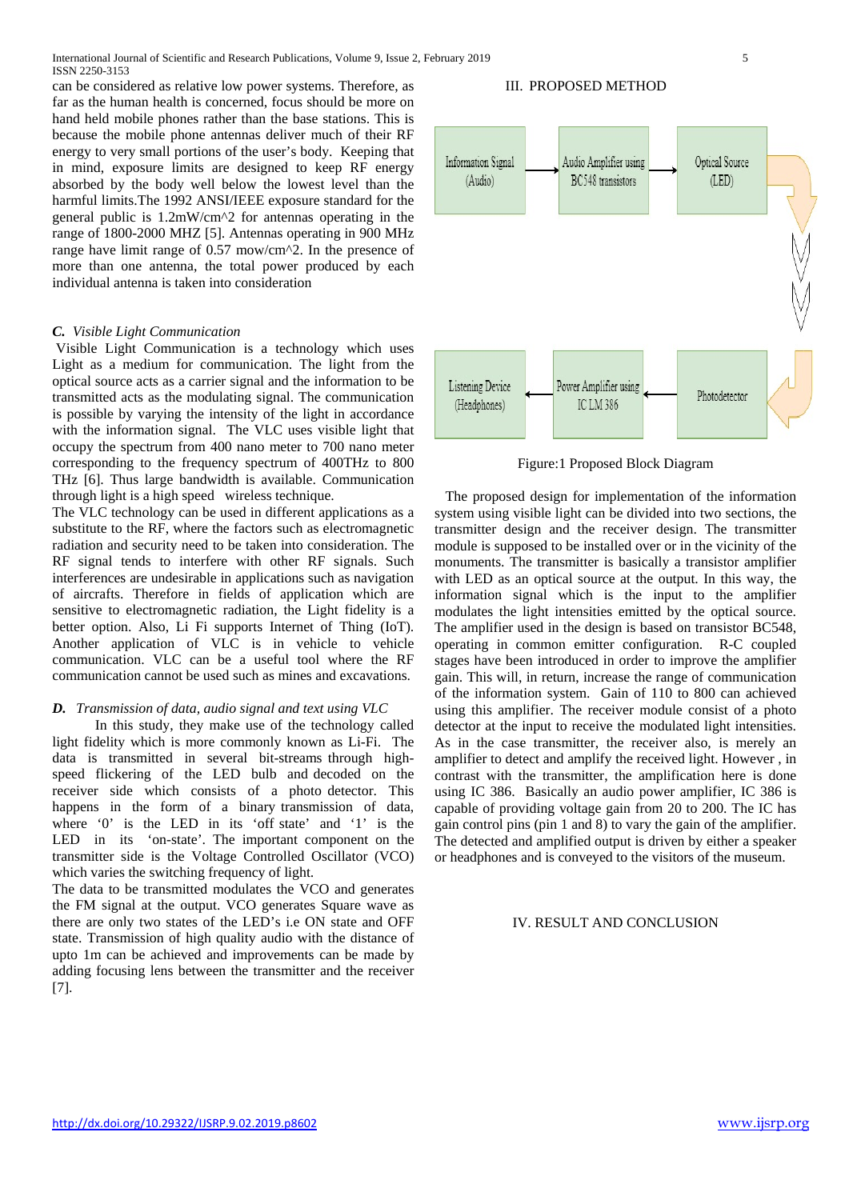International Journal of Scientific and Research Publications, Volume 9, Issue 2, February 2019 5 ISSN 2250-3153

can be considered as relative low power systems. Therefore, as far as the human health is concerned, focus should be more on hand held mobile phones rather than the base stations. This is because the mobile phone antennas deliver much of their RF energy to very small portions of the user's body. Keeping that in mind, exposure limits are designed to keep RF energy absorbed by the body well below the lowest level than the harmful limits.The 1992 ANSI/IEEE exposure standard for the general public is 1.2mW/cm^2 for antennas operating in the range of 1800-2000 MHZ [5]. Antennas operating in 900 MHz range have limit range of 0.57 mow/cm^2. In the presence of more than one antenna, the total power produced by each individual antenna is taken into consideration

#### *C. Visible Light Communication*

Visible Light Communication is a technology which uses Light as a medium for communication. The light from the optical source acts as a carrier signal and the information to be transmitted acts as the modulating signal. The communication is possible by varying the intensity of the light in accordance with the information signal. The VLC uses visible light that occupy the spectrum from 400 nano meter to 700 nano meter corresponding to the frequency spectrum of 400THz to 800 THz [6]. Thus large bandwidth is available. Communication through light is a high speed wireless technique.

The VLC technology can be used in different applications as a substitute to the RF, where the factors such as electromagnetic radiation and security need to be taken into consideration. The RF signal tends to interfere with other RF signals. Such interferences are undesirable in applications such as navigation of aircrafts. Therefore in fields of application which are sensitive to electromagnetic radiation, the Light fidelity is a better option. Also, Li Fi supports Internet of Thing (IoT). Another application of VLC is in vehicle to vehicle communication. VLC can be a useful tool where the RF communication cannot be used such as mines and excavations.

## *D. Transmission of data, audio signal and text using VLC*

 In this study, they make use of the technology called light fidelity which is more commonly known as Li-Fi. The data is transmitted in several bit-streams through highspeed flickering of the LED bulb and decoded on the receiver side which consists of a photo detector. This happens in the form of a binary transmission of data, where '0' is the LED in its 'off state' and '1' is the LED in its 'on-state'. The important component on the transmitter side is the Voltage Controlled Oscillator (VCO) which varies the switching frequency of light.

The data to be transmitted modulates the VCO and generates the FM signal at the output. VCO generates Square wave as there are only two states of the LED's i.e ON state and OFF state. Transmission of high quality audio with the distance of upto 1m can be achieved and improvements can be made by adding focusing lens between the transmitter and the receiver [7].

### III. PROPOSED METHOD



Figure:1 Proposed Block Diagram

 The proposed design for implementation of the information system using visible light can be divided into two sections, the transmitter design and the receiver design. The transmitter module is supposed to be installed over or in the vicinity of the monuments. The transmitter is basically a transistor amplifier with LED as an optical source at the output. In this way, the information signal which is the input to the amplifier modulates the light intensities emitted by the optical source. The amplifier used in the design is based on transistor BC548, operating in common emitter configuration. R-C coupled stages have been introduced in order to improve the amplifier gain. This will, in return, increase the range of communication of the information system. Gain of 110 to 800 can achieved using this amplifier. The receiver module consist of a photo detector at the input to receive the modulated light intensities. As in the case transmitter, the receiver also, is merely an amplifier to detect and amplify the received light. However , in contrast with the transmitter, the amplification here is done using IC 386. Basically an audio power amplifier, IC 386 is capable of providing voltage gain from 20 to 200. The IC has gain control pins (pin 1 and 8) to vary the gain of the amplifier. The detected and amplified output is driven by either a speaker or headphones and is conveyed to the visitors of the museum.

#### IV. RESULT AND CONCLUSION